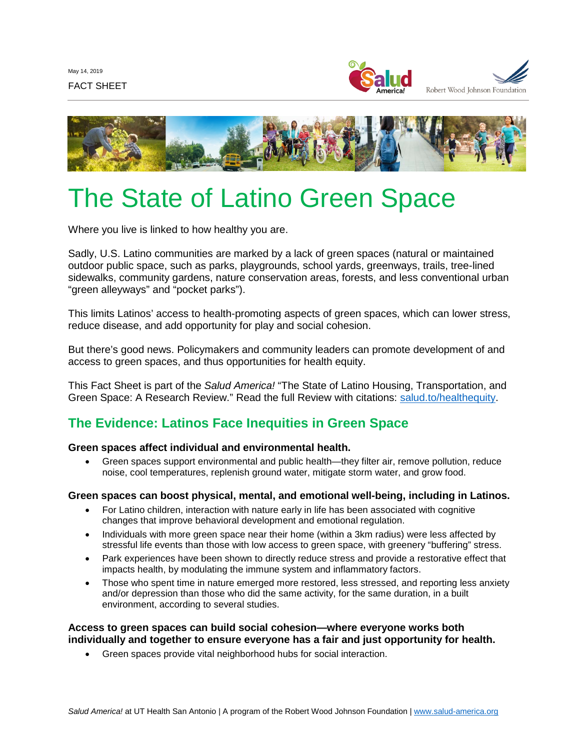



# The State of Latino Green Space

Where you live is linked to how healthy you are.

Sadly, U.S. Latino communities are marked by a lack of green spaces (natural or maintained outdoor public space, such as parks, playgrounds, school yards, greenways, trails, tree-lined sidewalks, community gardens, nature conservation areas, forests, and less conventional urban "green alleyways" and "pocket parks").

This limits Latinos' access to health-promoting aspects of green spaces, which can lower stress, reduce disease, and add opportunity for play and social cohesion.

But there's good news. Policymakers and community leaders can promote development of and access to green spaces, and thus opportunities for health equity.

This Fact Sheet is part of the *Salud America!* "The State of Latino Housing, Transportation, and Green Space: A Research Review." Read the full Review with citations: [salud.to/healthequity.](https://salud.to/healthequity)

## **The Evidence: Latinos Face Inequities in Green Space**

## **Green spaces affect individual and environmental health.**

• Green spaces support environmental and public health—they filter air, remove pollution, reduce noise, cool temperatures, replenish ground water, mitigate storm water, and grow food.

## **Green spaces can boost physical, mental, and emotional well-being, including in Latinos.**

- For Latino children, interaction with nature early in life has been associated with cognitive changes that improve behavioral development and emotional regulation.
- Individuals with more green space near their home (within a 3km radius) were less affected by stressful life events than those with low access to green space, with greenery "buffering" stress.
- Park experiences have been shown to directly reduce stress and provide a restorative effect that impacts health, by modulating the immune system and inflammatory factors.
- Those who spent time in nature emerged more restored, less stressed, and reporting less anxiety and/or depression than those who did the same activity, for the same duration, in a built environment, according to several studies.

## **Access to green spaces can build social cohesion—where everyone works both individually and together to ensure everyone has a fair and just opportunity for health.**

• Green spaces provide vital neighborhood hubs for social interaction.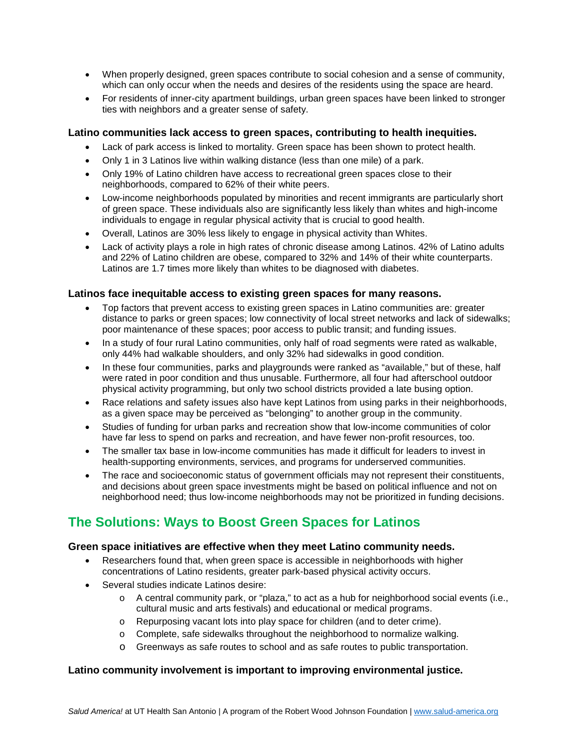- When properly designed, green spaces contribute to social cohesion and a sense of community, which can only occur when the needs and desires of the residents using the space are heard.
- For residents of inner-city apartment buildings, urban green spaces have been linked to stronger ties with neighbors and a greater sense of safety.

## **Latino communities lack access to green spaces, contributing to health inequities.**

- Lack of park access is linked to mortality. Green space has been shown to protect health.
- Only 1 in 3 Latinos live within walking distance (less than one mile) of a park.
- Only 19% of Latino children have access to recreational green spaces close to their neighborhoods, compared to 62% of their white peers.
- Low-income neighborhoods populated by minorities and recent immigrants are particularly short of green space. These individuals also are significantly less likely than whites and high-income individuals to engage in regular physical activity that is crucial to good health.
- Overall, Latinos are 30% less likely to engage in physical activity than Whites.
- Lack of activity plays a role in high rates of chronic disease among Latinos. 42% of Latino adults and 22% of Latino children are obese, compared to 32% and 14% of their white counterparts. Latinos are 1.7 times more likely than whites to be diagnosed with diabetes.

#### **Latinos face inequitable access to existing green spaces for many reasons.**

- Top factors that prevent access to existing green spaces in Latino communities are: greater distance to parks or green spaces; low connectivity of local street networks and lack of sidewalks; poor maintenance of these spaces; poor access to public transit; and funding issues.
- In a study of four rural Latino communities, only half of road segments were rated as walkable, only 44% had walkable shoulders, and only 32% had sidewalks in good condition.
- In these four communities, parks and playgrounds were ranked as "available," but of these, half were rated in poor condition and thus unusable. Furthermore, all four had afterschool outdoor physical activity programming, but only two school districts provided a late busing option.
- Race relations and safety issues also have kept Latinos from using parks in their neighborhoods, as a given space may be perceived as "belonging" to another group in the community.
- Studies of funding for urban parks and recreation show that low-income communities of color have far less to spend on parks and recreation, and have fewer non-profit resources, too.
- The smaller tax base in low-income communities has made it difficult for leaders to invest in health-supporting environments, services, and programs for underserved communities.
- The race and socioeconomic status of government officials may not represent their constituents, and decisions about green space investments might be based on political influence and not on neighborhood need; thus low-income neighborhoods may not be prioritized in funding decisions.

## **The Solutions: Ways to Boost Green Spaces for Latinos**

## **Green space initiatives are effective when they meet Latino community needs.**

- Researchers found that, when green space is accessible in neighborhoods with higher concentrations of Latino residents, greater park-based physical activity occurs.
- Several studies indicate Latinos desire:
	- o A central community park, or "plaza," to act as a hub for neighborhood social events (i.e., cultural music and arts festivals) and educational or medical programs.
	- o Repurposing vacant lots into play space for children (and to deter crime).
	- o Complete, safe sidewalks throughout the neighborhood to normalize walking.
	- o Greenways as safe routes to school and as safe routes to public transportation.

## **Latino community involvement is important to improving environmental justice.**